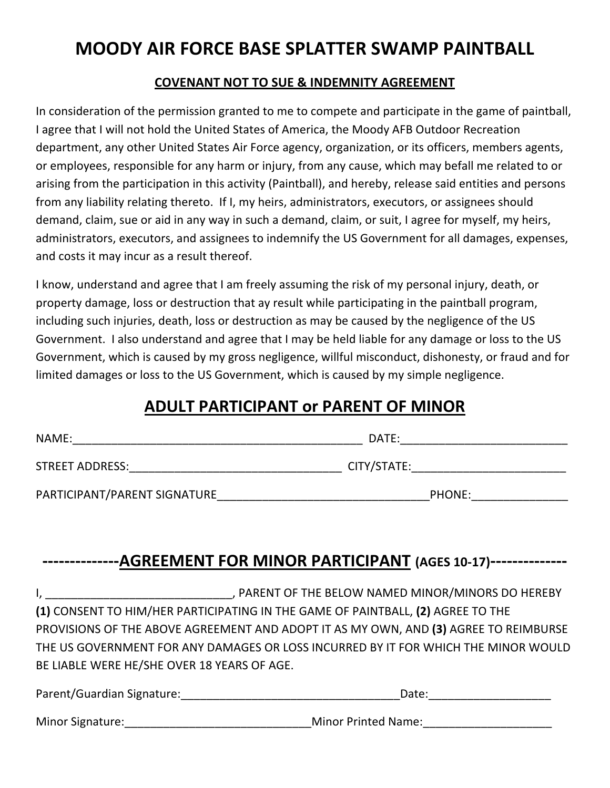## **MOODY AIR FORCE BASE SPLATTER SWAMP PAINTBALL**

## **COVENANT NOT TO SUE & INDEMNITY AGREEMENT**

In consideration of the permission granted to me to compete and participate in the game of paintball, I agree that I will not hold the United States of America, the Moody AFB Outdoor Recreation department, any other United States Air Force agency, organization, or its officers, members agents, or employees, responsible for any harm or injury, from any cause, which may befall me related to or arising from the participation in this activity (Paintball), and hereby, release said entities and persons from any liability relating thereto. If I, my heirs, administrators, executors, or assignees should demand, claim, sue or aid in any way in such a demand, claim, or suit, I agree for myself, my heirs, administrators, executors, and assignees to indemnify the US Government for all damages, expenses, and costs it may incur as a result thereof.

I know, understand and agree that I am freely assuming the risk of my personal injury, death, or property damage, loss or destruction that ay result while participating in the paintball program, including such injuries, death, loss or destruction as may be caused by the negligence of the US Government. I also understand and agree that I may be held liable for any damage or loss to the US Government, which is caused by my gross negligence, willful misconduct, dishonesty, or fraud and for limited damages or loss to the US Government, which is caused by my simple negligence.

## **ADULT PARTICIPANT OF PARENT OF MINOR**

| NAME:                        | DATE:       |
|------------------------------|-------------|
| STREET ADDRESS:              | CITY/STATE: |
| PARTICIPANT/PARENT SIGNATURE | PHONE:      |

## **--------------AGREEMENT FOR MINOR PARTICIPANT (AGES 10-17)--------------**

I, the contract of the second of the second MINOR/MINORS DO HEREBY **(1)** CONSENT TO HIM/HER PARTICIPATING IN THE GAME OF PAINTBALL, **(2)** AGREE TO THE PROVISIONS OF THE ABOVE AGREEMENT AND ADOPT IT AS MY OWN, AND (3) AGREE TO REIMBURSE THE US GOVERNMENT FOR ANY DAMAGES OR LOSS INCURRED BY IT FOR WHICH THE MINOR WOULD BE LIABLE WERE HE/SHE OVER 18 YEARS OF AGE.

| Parent/Guardian Signature: | Date:                      |
|----------------------------|----------------------------|
| <b>Minor Signature:</b>    | <b>Minor Printed Name:</b> |